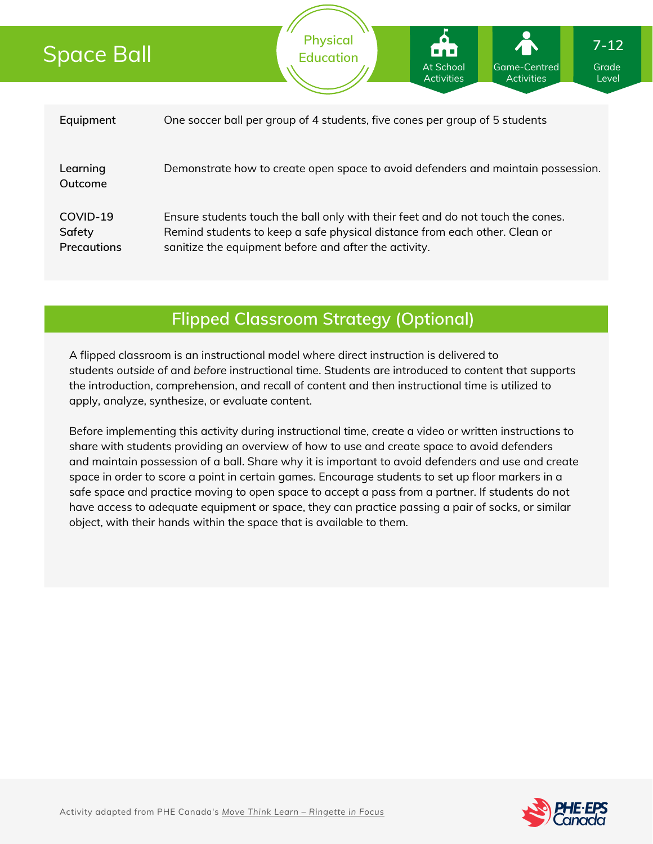# Space Ball

|                                          | Activities<br>Activities<br>Level                                                                                                                                                                                      |
|------------------------------------------|------------------------------------------------------------------------------------------------------------------------------------------------------------------------------------------------------------------------|
|                                          |                                                                                                                                                                                                                        |
| Equipment                                | One soccer ball per group of 4 students, five cones per group of 5 students                                                                                                                                            |
| Learning<br>Outcome                      | Demonstrate how to create open space to avoid defenders and maintain possession.                                                                                                                                       |
| COVID-19<br>Safety<br><b>Precautions</b> | Ensure students touch the ball only with their feet and do not touch the cones.<br>Remind students to keep a safe physical distance from each other. Clean or<br>sanitize the equipment before and after the activity. |

**Physical Education**

## **Flipped Classroom Strategy (Optional)**

A flipped classroom is an instructional model where direct instruction is delivered to students *outside of* and *before* instructional time. Students are introduced to content that supports the introduction, comprehension, and recall of content and then instructional time is utilized to apply, analyze, synthesize, or evaluate content.

Before implementing this activity during instructional time, create a video or written instructions to share with students providing an overview of how to use and create space to avoid defenders and maintain possession of a ball. Share why it is important to avoid defenders and use and create space in order to score a point in certain games. Encourage students to set up floor markers in a safe space and practice moving to open space to accept a pass from a partner. If students do not have access to adequate equipment or space, they can practice passing a pair of socks, or similar object, with their hands within the space that is available to them.



Grade

Game-Centred

At School

**7-12**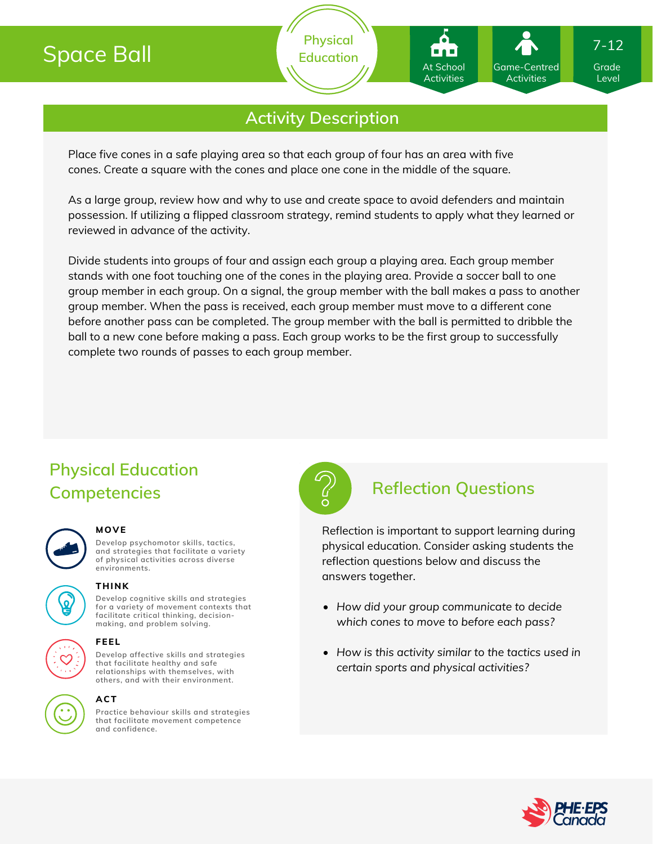# Space Ball

**Physical Education**

## **Activity Description**

Place five cones in a safe playing area so that each group of four has an area with five cones. Create a square with the cones and place one cone in the middle of the square.

As a large group, review how and why to use and create space to avoid defenders and maintain possession. If utilizing a flipped classroom strategy, remind students to apply what they learned or reviewed in advance of the activity.

Divide students into groups of four and assign each group a playing area. Each group member stands with one foot touching one of the cones in the playing area. Provide a soccer ball to one group member in each group. On a signal, the group member with the ball makes a pass to another group member. When the pass is received, each group member must move to a different cone before another pass can be completed. The group member with the ball is permitted to dribble the ball to a new cone before making a pass. Each group works to be the first group to successfully complete two rounds of passes to each group member.

## **Physical Education Competencies Reflection Questions**

#### **MOVE**

**Develop psychomotor skills, tactics, and strategies that facilitate a variety of physical activities across diverse environments.**



**Develop cognitive skills and strategies for a variety of movement contexts that facilitate critical thinking, decision- THINK**



#### **making, and problem solving.**

**Develop affective skills and strategies that facilitate healthy and safe relationships with themselves, with FEEL**

**others, and with their environment.**

### **ACT**

**Practice behaviour skills and strategies that facilitate movement competence and confidence.**



Reflection is important to support learning during physical education. Consider asking students the reflection questions below and discuss the answers together.

- *How did your group communicate to decide which cones to move to before each pass?*
- *How is this activity similar to the tactics used in certain sports and physical activities?*



Grade Level

7-12

Game-Centred Activities

At School Activities